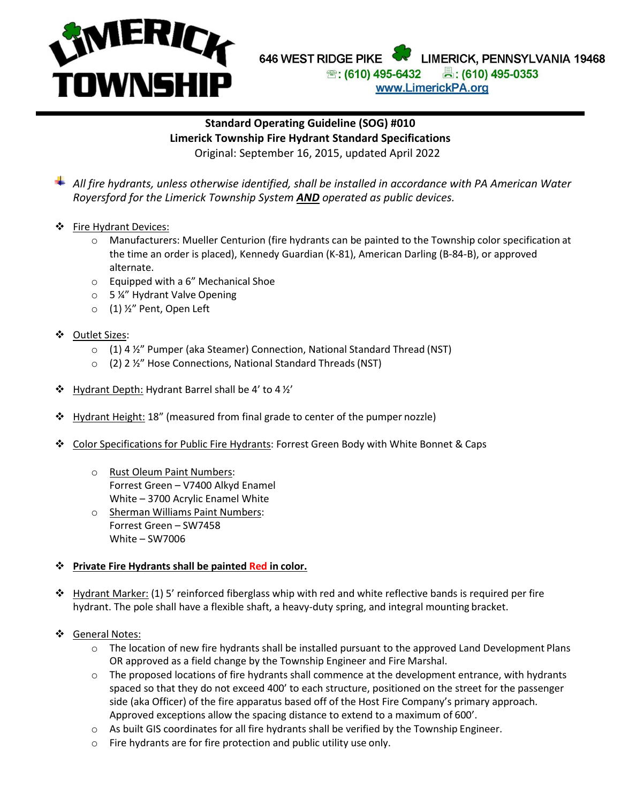

## **LIMERICA CACAMERICHE PHONE: COMMUNISMENT PHONE: (610) 495-6444 AVENUE PHONES BEAR WEST RIDGE PIKE WE LIMERICK, PENNSYLY** 646 WEST RIDGE PIKE [www.limerickpa.org](http://www.limerickpa.org/) www.LimerickPA.org

## **Standard Operating Guideline (SOG) #010 Limerick Township Fire Hydrant Standard Specifications** Original: September 16, 2015, updated April 2022

*All fire hydrants, unless otherwise identified, shall be installed in accordance with PA American Water Royersford for the Limerick Township System AND operated as public devices.*

- ❖ Fire Hydrant Devices:
	- o Manufacturers: Mueller Centurion (fire hydrants can be painted to the Township color specification at the time an order is placed), Kennedy Guardian (K-81), American Darling (B-84-B), or approved alternate.
	- o Equipped with a 6" Mechanical Shoe
	- o 5 ¼" Hydrant Valve Opening
	- o (1) ½" Pent, Open Left
- Outlet Sizes:
	- o (1) 4 ½" Pumper (aka Steamer) Connection, National Standard Thread (NST)
	- o (2) 2 ½" Hose Connections, National Standard Threads(NST)
- $\div$  Hydrant Depth: Hydrant Barrel shall be 4' to 4 1/2'
- **❖** Hydrant Height: 18" (measured from final grade to center of the pumper nozzle)
- \* Color Specifications for Public Fire Hydrants: Forrest Green Body with White Bonnet & Caps
	- o Rust Oleum Paint Numbers: Forrest Green – V7400 Alkyd Enamel White – 3700 Acrylic Enamel White
	- o Sherman Williams Paint Numbers: Forrest Green – SW7458 White – SW7006

## **Private Fire Hydrants shall be painted Red in color.**

- $\div$  Hydrant Marker: (1) 5' reinforced fiberglass whip with red and white reflective bands is required per fire hydrant. The pole shall have a flexible shaft, a heavy-duty spring, and integral mounting bracket.
- General Notes:
	- $\circ$  The location of new fire hydrants shall be installed pursuant to the approved Land Development Plans OR approved as a field change by the Township Engineer and Fire Marshal.
	- $\circ$  The proposed locations of fire hydrants shall commence at the development entrance, with hydrants spaced so that they do not exceed 400' to each structure, positioned on the street for the passenger side (aka Officer) of the fire apparatus based off of the Host Fire Company's primary approach. Approved exceptions allow the spacing distance to extend to a maximum of 600'.
	- o As built GIS coordinates for all fire hydrants shall be verified by the Township Engineer.
	- o Fire hydrants are for fire protection and public utility use only.